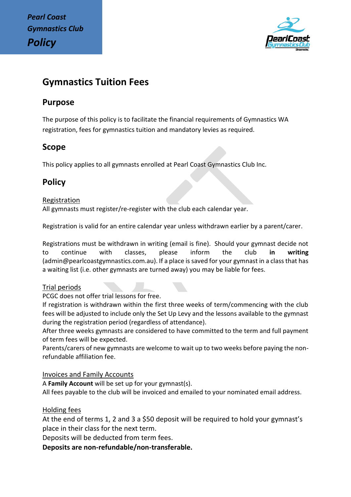

# **Gymnastics Tuition Fees**

## **Purpose**

The purpose of this policy is to facilitate the financial requirements of Gymnastics WA registration, fees for gymnastics tuition and mandatory levies as required.

## **Scope**

This policy applies to all gymnasts enrolled at Pearl Coast Gymnastics Club Inc.

# **Policy**

## Registration

All gymnasts must register/re-register with the club each calendar year.

Registration is valid for an entire calendar year unless withdrawn earlier by a parent/carer.

Registrations must be withdrawn in writing (email is fine). Should your gymnast decide not to continue with classes, please inform the club **in writing**  (admin@pearlcoastgymnastics.com.au). If a place is saved for your gymnast in a class that has a waiting list (i.e. other gymnasts are turned away) you may be liable for fees.

## Trial periods

PCGC does not offer trial lessons for free.

If registration is withdrawn within the first three weeks of term/commencing with the club fees will be adjusted to include only the Set Up Levy and the lessons available to the gymnast during the registration period (regardless of attendance).

After three weeks gymnasts are considered to have committed to the term and full payment of term fees will be expected.

Parents/carers of new gymnasts are welcome to wait up to two weeks before paying the nonrefundable affiliation fee.

## Invoices and Family Accounts

A **Family Account** will be set up for your gymnast(s).

All fees payable to the club will be invoiced and emailed to your nominated email address.

## Holding fees

At the end of terms 1, 2 and 3 a \$50 deposit will be required to hold your gymnast's place in their class for the next term.

Deposits will be deducted from term fees.

**Deposits are non-refundable/non-transferable.**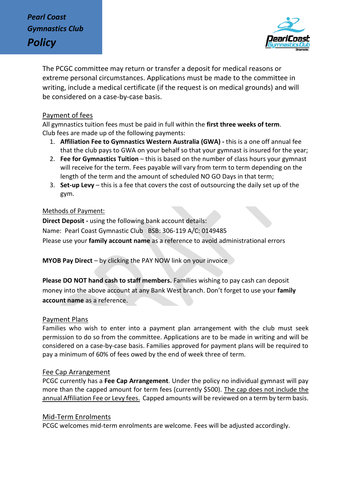

The PCGC committee may return or transfer a deposit for medical reasons or extreme personal circumstances. Applications must be made to the committee in writing, include a medical certificate (if the request is on medical grounds) and will be considered on a case-by-case basis.

#### Payment of fees

All gymnastics tuition fees must be paid in full within the **first three weeks of term**. Club fees are made up of the following payments:

- 1. **Affiliation Fee to Gymnastics Western Australia (GWA) -** this is a one off annual fee that the club pays to GWA on your behalf so that your gymnast is insured for the year;
- 2. **Fee for Gymnastics Tuition** this is based on the number of class hours your gymnast will receive for the term. Fees payable will vary from term to term depending on the length of the term and the amount of scheduled NO GO Days in that term;
- 3. **Set-up Levy** this is a fee that covers the cost of outsourcing the daily set up of the gym.

#### Methods of Payment:

**Direct Deposit -** using the following bank account details: Name: Pearl Coast Gymnastic Club BSB: 306-119 A/C: 0149485 Please use your **family account name** as a reference to avoid administrational errors

**MYOB Pay Direct** – by clicking the PAY NOW link on your invoice

**Please DO NOT hand cash to staff members.** Families wishing to pay cash can deposit money into the above account at any Bank West branch. Don't forget to use your **family account name** as a reference.

#### Payment Plans

Families who wish to enter into a payment plan arrangement with the club must seek permission to do so from the committee. Applications are to be made in writing and will be considered on a case-by-case basis. Families approved for payment plans will be required to pay a minimum of 60% of fees owed by the end of week three of term.

#### Fee Cap Arrangement

PCGC currently has a **Fee Cap Arrangement**. Under the policy no individual gymnast will pay more than the capped amount for term fees (currently \$500). The cap does not include the annual Affiliation Fee or Levy fees. Capped amounts will be reviewed on a term by term basis.

#### Mid-Term Enrolments

PCGC welcomes mid-term enrolments are welcome. Fees will be adjusted accordingly.